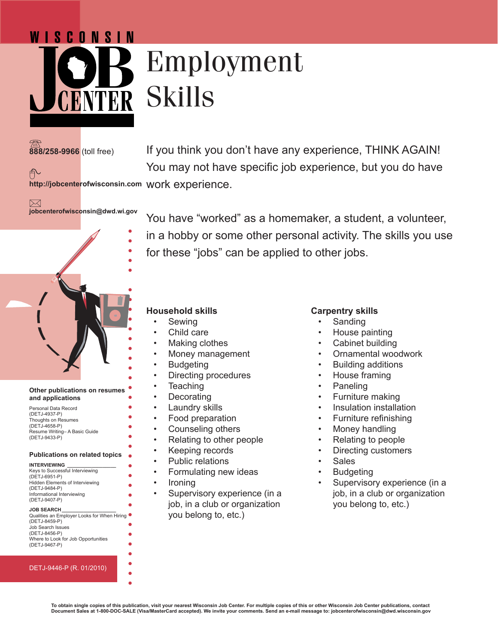# Employment Skills

## **888/258-9966** (toll free)

户

WISCONSIN

If you think you don't have any experience, THINK AGAIN! You may not have specific job experience, but you do have

You have "worked" as a homemaker, a student, a volunteer,

in a hobby or some other personal activity. The skills you use

**http://jobcenterofwisconsin.com** work experience.

 $\boxtimes$ **jobcenterofwisconsin@dwd.wi.gov**



#### **Other publications on resumes and applications**

| Personal Data Record         |
|------------------------------|
| (DETJ-4937-P)                |
| Thoughts on Resumes          |
| (DETJ-4658-P)                |
| Resume Writing-A Basic Guide |
| (DETJ-9433-P)                |

#### **Publications on related topics**

| <b>INTERVIEWING</b>                         |
|---------------------------------------------|
| Keys to Successful Interviewing             |
| (DETJ-6951-P)                               |
| <b>Hidden Elements of Interviewing</b>      |
| (DETJ-9484-P)                               |
| Informational Interviewing                  |
| (DETJ-9407-P)                               |
|                                             |
| <b>JOB SEARCH</b>                           |
| Qualities an Employer Looks for When Hiring |
| (DETJ-8459-P)                               |
| Job Search Issues                           |
| (DFT.I-8456-P)                              |

#### DETJ-9446-P (R. 01/2010)

Where to Look for Job Opportunities

(DETJ-9467-P)

for these "jobs" can be applied to other jobs.

#### **Household skills**

- **Sewing**
- Child care
- Making clothes
- Money management
- **Budgeting**
- Directing procedures
- Teaching
- Decorating
- Laundry skills
- Food preparation
- Counseling others
- Relating to other people
- Keeping records
- Public relations
- Formulating new ideas
- Ironing
- Supervisory experience (in a job, in a club or organization you belong to, etc.)

#### **Carpentry skills**

- **Sanding**
- House painting
- Cabinet building
- Ornamental woodwork
- Building additions
- House framing
- Paneling
- Furniture making
- Insulation installation
- Furniture refinishing
- Money handling
- Relating to people
- Directing customers
- **Sales**
- **Budgeting**
- Supervisory experience (in a job, in a club or organization you belong to, etc.)

**To obtain single copies of this publication, visit your nearest Wisconsin Job Center. For multiple copies of this or other Wisconsin Job Center publications, contact Document Sales at 1-800-DOC-SALE (Visa/MasterCard accepted). We invite your comments. Send an e-mail message to: jobcenterofwisconsin@dwd.wisconsin.gov**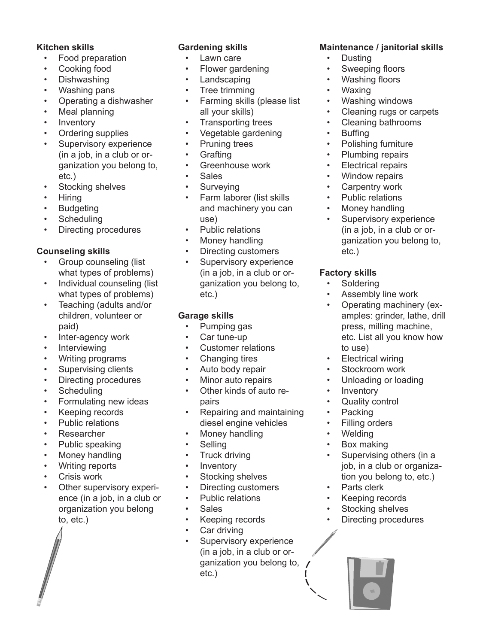#### **Kitchen skills**

- Food preparation
- Cooking food
- Dishwashing
- Washing pans
- Operating a dishwasher
- Meal planning
- **Inventory**
- Ordering supplies
- Supervisory experience (in a job, in a club or organization you belong to, etc.)
- Stocking shelves
- Hiring
- **Budgeting**
- **Scheduling**
- Directing procedures

## **Counseling skills**

- Group counseling (list what types of problems)
- Individual counseling (list what types of problems)
- Teaching (adults and/or children, volunteer or paid)
- Inter-agency work
- **Interviewing**
- Writing programs
- Supervising clients
- Directing procedures
- **Scheduling**
- Formulating new ideas
- Keeping records
- Public relations
- Researcher
- Public speaking
- Money handling
- Writing reports
- Crisis work
- Other supervisory experience (in a job, in a club or organization you belong to, etc.)

## **Gardening skills**

- Lawn care
- Flower gardening
- Landscaping
- Tree trimming
- Farming skills (please list all your skills)
- Transporting trees
- Vegetable gardening
- Pruning trees
- Grafting
- Greenhouse work
- Sales
- Surveying
- Farm laborer (list skills and machinery you can use)
- Public relations
- Money handling
- Directing customers
- Supervisory experience (in a job, in a club or organization you belong to, etc.)

## **Garage skills**

- Pumping gas
- Car tune-up
- Customer relations
- Changing tires
- Auto body repair
- Minor auto repairs
- Other kinds of auto repairs
- Repairing and maintaining diesel engine vehicles
- Money handling
- Selling
- Truck driving
- Inventory
- Stocking shelves
- Directing customers
- Public relations
- Sales
- Keeping records
- Car driving
- Supervisory experience (in a job, in a club or organization you belong to, etc.)

## **Maintenance / janitorial skills**

- Dusting
- Sweeping floors
- Washing floors
- Waxing
- Washing windows
- Cleaning rugs or carpets
- Cleaning bathrooms
- Buffing
- Polishing furniture
- Plumbing repairs
- Electrical repairs
- Window repairs
- Carpentry work
- Public relations
- Money handling
- Supervisory experience (in a job, in a club or organization you belong to, etc.)

## **Factory skills**

- **Soldering**
- Assembly line work
- Operating machinery (examples: grinder, lathe, drill press, milling machine, etc. List all you know how to use)
- **Electrical wiring**
- Stockroom work
- Unloading or loading
- **Inventory**
- Quality control
- **Packing**
- Filling orders • Welding

• Box making

Parts clerk Keeping records Stocking shelves • Directing procedures

Supervising others (in a job, in a club or organization you belong to, etc.)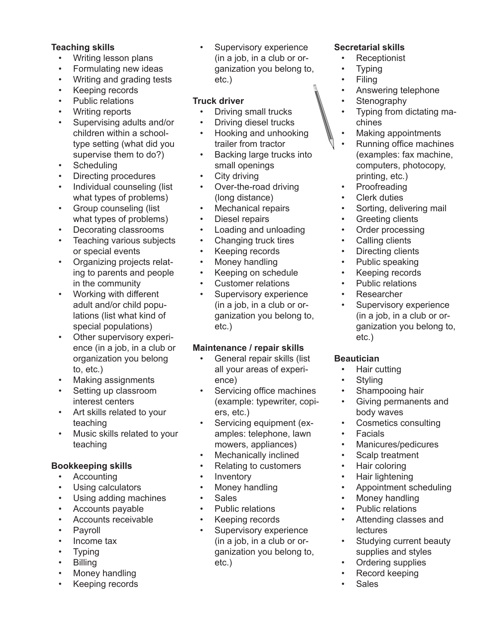#### **Teaching skills**

- Writing lesson plans
- Formulating new ideas
- Writing and grading tests
- Keeping records
- Public relations
- Writing reports
- Supervising adults and/or children within a schooltype setting (what did you supervise them to do?)
- **Scheduling**
- Directing procedures
- Individual counseling (list what types of problems)
- Group counseling (list what types of problems)
- Decorating classrooms
- Teaching various subjects or special events
- Organizing projects relating to parents and people in the community
- Working with different adult and/or child populations (list what kind of special populations)
- Other supervisory experience (in a job, in a club or organization you belong to, etc.)
- Making assignments
- Setting up classroom interest centers
- Art skills related to your teaching
- Music skills related to your teaching

#### **Bookkeeping skills**

- Accounting
- Using calculators
- Using adding machines
- Accounts payable
- Accounts receivable
- **Payroll**
- Income tax
- Typing
- Billing
- Money handling
- Keeping records

Supervisory experience (in a job, in a club or organization you belong to, etc.)

#### **Truck driver**

- Driving small trucks
- Driving diesel trucks • Hooking and unhooking
- trailer from tractor
- Backing large trucks into small openings
- City driving
- Over-the-road driving (long distance)
- Mechanical repairs
- Diesel repairs
- Loading and unloading
- Changing truck tires
- Keeping records
- Money handling
- Keeping on schedule
- Customer relations
- Supervisory experience (in a job, in a club or organization you belong to, etc.)

#### **Maintenance / repair skills**

- General repair skills (list all your areas of experience)
- Servicing office machines (example: typewriter, copiers, etc.)
- Servicing equipment (examples: telephone, lawn mowers, appliances)
- Mechanically inclined
- Relating to customers
- **Inventory**
- Money handling
- Sales
- Public relations
- Keeping records
- Supervisory experience (in a job, in a club or organization you belong to, etc.)

#### **Secretarial skills**

- Receptionist
- **Typing**
- Filing
- Answering telephone
- **Stenography**
- Typing from dictating machines
- Making appointments
- Running office machines (examples: fax machine, computers, photocopy, printing, etc.)
- Proofreading
- **Clerk duties**
- Sorting, delivering mail
- **Greeting clients**
- Order processing
- Calling clients
- Directing clients
- Public speaking
- Keeping records
- Public relations
- Researcher
- Supervisory experience (in a job, in a club or organization you belong to, etc.)

#### **Beautician**

- Hair cutting
- **Styling**
- Shampooing hair
- Giving permanents and body waves
- Cosmetics consulting
- Facials
- Manicures/pedicures
- Scalp treatment
- Hair coloring
- Hair lightening
- Appointment scheduling
- Money handling
- Public relations
- Attending classes and lectures
- Studying current beauty supplies and styles
- Ordering supplies • Record keeping

**Sales**